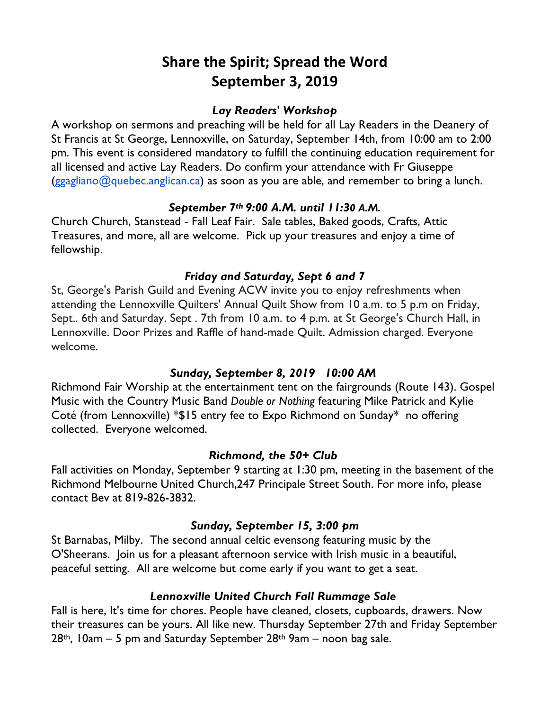# **Share the Spirit; Spread the Word September 3, 2019**

#### *Lay Readers' Workshop*

A workshop on sermons and preaching will be held for all Lay Readers in the Deanery of St Francis at St George, Lennoxville, on Saturday, September 14th, from 10:00 am to 2:00 pm. This event is considered mandatory to fulfill the continuing education requirement for all licensed and active Lay Readers. Do confirm your attendance with Fr Giuseppe  $(ggagliano@quebec.anglican.ca)$  as soon as you are able, and remember to bring a lunch.

#### *September 7th 9:00 A.M. until 11:30 A.M.*

Church Church, Stanstead - Fall Leaf Fair. Sale tables, Baked goods, Crafts, Attic Treasures, and more, all are welcome. Pick up your treasures and enjoy a time of fellowship.

## *Friday and Saturday, Sept 6 and 7*

St, George's Parish Guild and Evening ACW invite you to enjoy refreshments when attending the Lennoxville Quilters' Annual Quilt Show from 10 a.m. to 5 p.m on Friday, Sept.. 6th and Saturday. Sept . 7th from 10 a.m. to 4 p.m. at St George's Church Hall, in Lennoxville. Door Prizes and Raffle of hand-made Quilt. Admission charged. Everyone welcome.

## *Sunday, September 8, 2019 10:00 AM*

Richmond Fair Worship at the entertainment tent on the fairgrounds (Route 143). Gospel Music with the Country Music Band *Double or Nothing* featuring Mike Patrick and Kylie Coté (from Lennoxville) \*\$15 entry fee to Expo Richmond on Sunday\* no offering collected. Everyone welcomed.

#### *Richmond, the 50+ Club*

Fall activities on Monday, September 9 starting at 1:30 pm, meeting in the basement of the Richmond Melbourne United Church,247 Principale Street South. For more info, please contact Bev at 819-826-3832.

## *Sunday, September 15, 3:00 pm*

St Barnabas, Milby. The second annual celtic evensong featuring music by the O'Sheerans.Join us for a pleasant afternoon service with Irish music in a beautiful, peaceful setting. All are welcome but come early if you want to get a seat.

## *Lennoxville United Church Fall Rummage Sale*

Fall is here, It's time for chores. People have cleaned, closets, cupboards, drawers. Now their treasures can be yours. All like new. Thursday September 27th and Friday September  $28$ <sup>th</sup>, 10am – 5 pm and Saturday September  $28$ <sup>th</sup> 9am – noon bag sale.